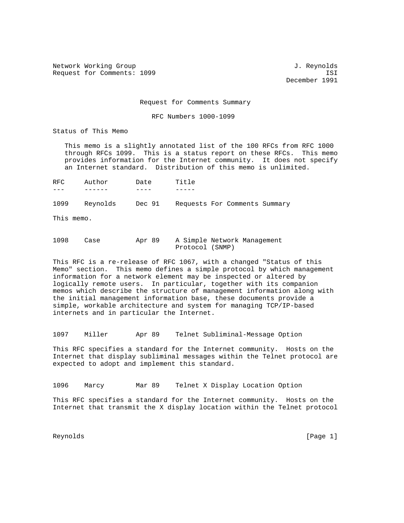Network Working Group and Services and Services and J. Reynolds Request for Comments: 1099 ISI

December 1991

Request for Comments Summary

RFC Numbers 1000-1099

Status of This Memo

 This memo is a slightly annotated list of the 100 RFCs from RFC 1000 through RFCs 1099. This is a status report on these RFCs. This memo provides information for the Internet community. It does not specify an Internet standard. Distribution of this memo is unlimited.

RFC Author Date Title --- ------ ---- -----

1099 Reynolds Dec 91 Requests For Comments Summary

This memo.

1098 Case Apr 89 A Simple Network Management Protocol (SNMP)

This RFC is a re-release of RFC 1067, with a changed "Status of this Memo" section. This memo defines a simple protocol by which management information for a network element may be inspected or altered by logically remote users. In particular, together with its companion memos which describe the structure of management information along with the initial management information base, these documents provide a simple, workable architecture and system for managing TCP/IP-based internets and in particular the Internet.

1097 Miller Apr 89 Telnet Subliminal-Message Option

This RFC specifies a standard for the Internet community. Hosts on the Internet that display subliminal messages within the Telnet protocol are expected to adopt and implement this standard.

1096 Marcy Mar 89 Telnet X Display Location Option

This RFC specifies a standard for the Internet community. Hosts on the Internet that transmit the X display location within the Telnet protocol

Reynolds [Page 1]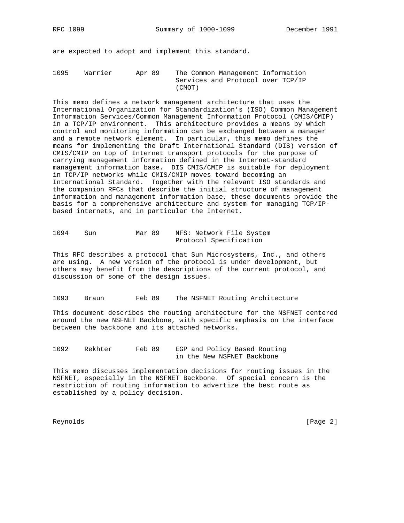are expected to adopt and implement this standard.

1095 Warrier Apr 89 The Common Management Information Services and Protocol over TCP/IP (CMOT)

This memo defines a network management architecture that uses the International Organization for Standardization's (ISO) Common Management Information Services/Common Management Information Protocol (CMIS/CMIP) in a TCP/IP environment. This architecture provides a means by which control and monitoring information can be exchanged between a manager and a remote network element. In particular, this memo defines the means for implementing the Draft International Standard (DIS) version of CMIS/CMIP on top of Internet transport protocols for the purpose of carrying management information defined in the Internet-standard management information base. DIS CMIS/CMIP is suitable for deployment in TCP/IP networks while CMIS/CMIP moves toward becoming an International Standard. Together with the relevant ISO standards and the companion RFCs that describe the initial structure of management information and management information base, these documents provide the basis for a comprehensive architecture and system for managing TCP/IPbased internets, and in particular the Internet.

| 1094 | Sun | Mar 89 |                        |  | NFS: Network File System |
|------|-----|--------|------------------------|--|--------------------------|
|      |     |        | Protocol Specification |  |                          |

This RFC describes a protocol that Sun Microsystems, Inc., and others are using. A new version of the protocol is under development, but others may benefit from the descriptions of the current protocol, and discussion of some of the design issues.

1093 Braun Feb 89 The NSFNET Routing Architecture

This document describes the routing architecture for the NSFNET centered around the new NSFNET Backbone, with specific emphasis on the interface between the backbone and its attached networks.

1092 Rekhter Feb 89 EGP and Policy Based Routing in the New NSFNET Backbone

This memo discusses implementation decisions for routing issues in the NSFNET, especially in the NSFNET Backbone. Of special concern is the restriction of routing information to advertize the best route as established by a policy decision.

Reynolds [Page 2]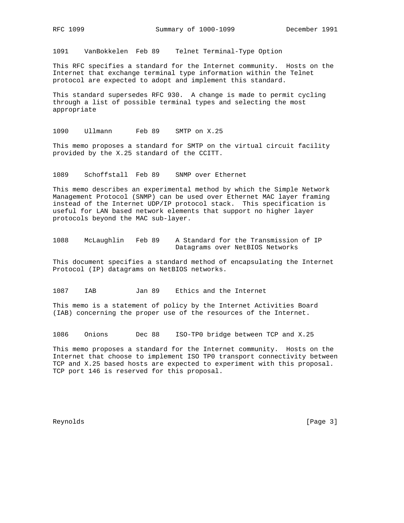1091 VanBokkelen Feb 89 Telnet Terminal-Type Option

This RFC specifies a standard for the Internet community. Hosts on the Internet that exchange terminal type information within the Telnet protocol are expected to adopt and implement this standard.

This standard supersedes RFC 930. A change is made to permit cycling through a list of possible terminal types and selecting the most appropriate

1090 Ullmann Feb 89 SMTP on X.25

This memo proposes a standard for SMTP on the virtual circuit facility provided by the X.25 standard of the CCITT.

1089 Schoffstall Feb 89 SNMP over Ethernet

This memo describes an experimental method by which the Simple Network Management Protocol (SNMP) can be used over Ethernet MAC layer framing instead of the Internet UDP/IP protocol stack. This specification is useful for LAN based network elements that support no higher layer protocols beyond the MAC sub-layer.

1088 McLaughlin Feb 89 A Standard for the Transmission of IP Datagrams over NetBIOS Networks

This document specifies a standard method of encapsulating the Internet Protocol (IP) datagrams on NetBIOS networks.

1087 IAB Jan 89 Ethics and the Internet

This memo is a statement of policy by the Internet Activities Board (IAB) concerning the proper use of the resources of the Internet.

1086 Onions Dec 88 ISO-TP0 bridge between TCP and X.25

This memo proposes a standard for the Internet community. Hosts on the Internet that choose to implement ISO TP0 transport connectivity between TCP and X.25 based hosts are expected to experiment with this proposal. TCP port 146 is reserved for this proposal.

Reynolds [Page 3]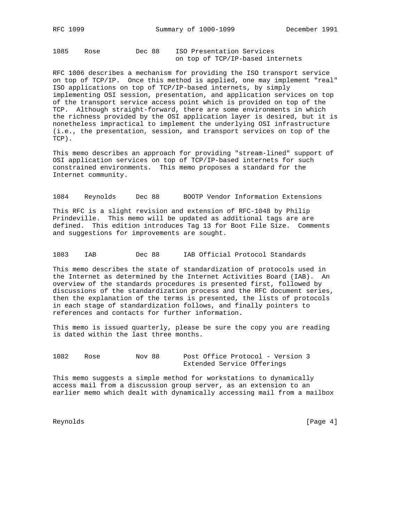1085 Rose Dec 88 ISO Presentation Services on top of TCP/IP-based internets

RFC 1006 describes a mechanism for providing the ISO transport service on top of TCP/IP. Once this method is applied, one may implement "real" ISO applications on top of TCP/IP-based internets, by simply implementing OSI session, presentation, and application services on top of the transport service access point which is provided on top of the TCP. Although straight-forward, there are some environments in which the richness provided by the OSI application layer is desired, but it is nonetheless impractical to implement the underlying OSI infrastructure (i.e., the presentation, session, and transport services on top of the TCP).

This memo describes an approach for providing "stream-lined" support of OSI application services on top of TCP/IP-based internets for such constrained environments. This memo proposes a standard for the Internet community.

1084 Reynolds Dec 88 BOOTP Vendor Information Extensions

This RFC is a slight revision and extension of RFC-1048 by Philip Prindeville. This memo will be updated as additional tags are are defined. This edition introduces Tag 13 for Boot File Size. Comments and suggestions for improvements are sought.

1083 IAB Dec 88 IAB Official Protocol Standards

This memo describes the state of standardization of protocols used in the Internet as determined by the Internet Activities Board (IAB). An overview of the standards procedures is presented first, followed by discussions of the standardization process and the RFC document series, then the explanation of the terms is presented, the lists of protocols in each stage of standardization follows, and finally pointers to references and contacts for further information.

This memo is issued quarterly, please be sure the copy you are reading is dated within the last three months.

1082 Rose Nov 88 Post Office Protocol - Version 3 Extended Service Offerings

This memo suggests a simple method for workstations to dynamically access mail from a discussion group server, as an extension to an earlier memo which dealt with dynamically accessing mail from a mailbox

Reynolds [Page 4]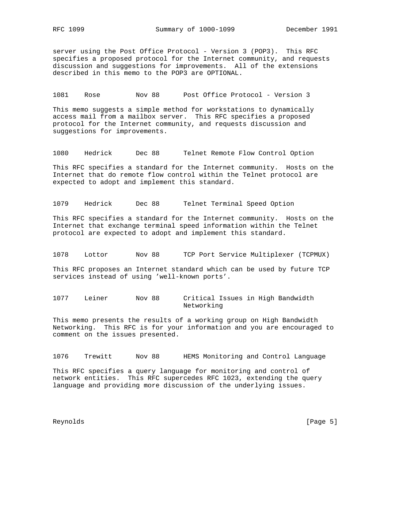server using the Post Office Protocol - Version 3 (POP3). This RFC specifies a proposed protocol for the Internet community, and requests discussion and suggestions for improvements. All of the extensions described in this memo to the POP3 are OPTIONAL.

1081 Rose Nov 88 Post Office Protocol - Version 3

This memo suggests a simple method for workstations to dynamically access mail from a mailbox server. This RFC specifies a proposed protocol for the Internet community, and requests discussion and suggestions for improvements.

1080 Hedrick Dec 88 Telnet Remote Flow Control Option

This RFC specifies a standard for the Internet community. Hosts on the Internet that do remote flow control within the Telnet protocol are expected to adopt and implement this standard.

1079 Hedrick Dec 88 Telnet Terminal Speed Option

This RFC specifies a standard for the Internet community. Hosts on the Internet that exchange terminal speed information within the Telnet protocol are expected to adopt and implement this standard.

1078 Lottor Nov 88 TCP Port Service Multiplexer (TCPMUX)

This RFC proposes an Internet standard which can be used by future TCP services instead of using 'well-known ports'.

1077 Leiner Nov 88 Critical Issues in High Bandwidth Networking

This memo presents the results of a working group on High Bandwidth Networking. This RFC is for your information and you are encouraged to comment on the issues presented.

1076 Trewitt Nov 88 HEMS Monitoring and Control Language

This RFC specifies a query language for monitoring and control of network entities. This RFC supercedes RFC 1023, extending the query language and providing more discussion of the underlying issues.

Reynolds [Page 5]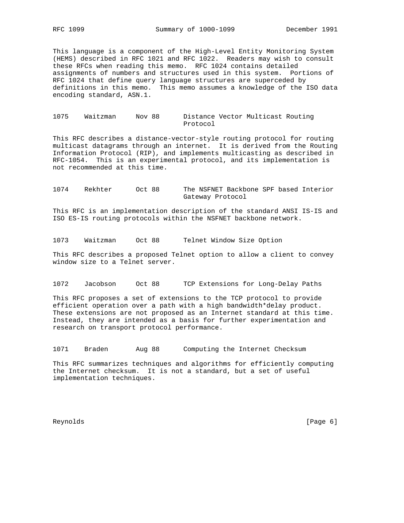This language is a component of the High-Level Entity Monitoring System (HEMS) described in RFC 1021 and RFC 1022. Readers may wish to consult these RFCs when reading this memo. RFC 1024 contains detailed assignments of numbers and structures used in this system. Portions of RFC 1024 that define query language structures are superceded by definitions in this memo. This memo assumes a knowledge of the ISO data encoding standard, ASN.1.

## 1075 Waitzman Nov 88 Distance Vector Multicast Routing Protocol

This RFC describes a distance-vector-style routing protocol for routing multicast datagrams through an internet. It is derived from the Routing Information Protocol (RIP), and implements multicasting as described in RFC-1054. This is an experimental protocol, and its implementation is not recommended at this time.

1074 Rekhter Oct 88 The NSFNET Backbone SPF based Interior Gateway Protocol

This RFC is an implementation description of the standard ANSI IS-IS and ISO ES-IS routing protocols within the NSFNET backbone network.

1073 Waitzman Oct 88 Telnet Window Size Option

This RFC describes a proposed Telnet option to allow a client to convey window size to a Telnet server.

1072 Jacobson Oct 88 TCP Extensions for Long-Delay Paths

This RFC proposes a set of extensions to the TCP protocol to provide efficient operation over a path with a high bandwidth\*delay product. These extensions are not proposed as an Internet standard at this time. Instead, they are intended as a basis for further experimentation and research on transport protocol performance.

1071 Braden Aug 88 Computing the Internet Checksum

This RFC summarizes techniques and algorithms for efficiently computing the Internet checksum. It is not a standard, but a set of useful implementation techniques.

Reynolds [Page 6]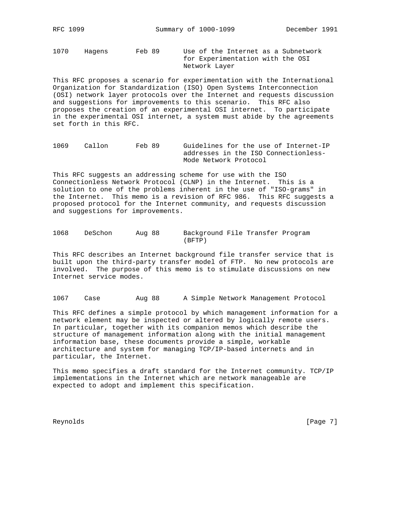1070 Hagens Feb 89 Use of the Internet as a Subnetwork for Experimentation with the OSI Network Layer

This RFC proposes a scenario for experimentation with the International Organization for Standardization (ISO) Open Systems Interconnection (OSI) network layer protocols over the Internet and requests discussion and suggestions for improvements to this scenario. This RFC also proposes the creation of an experimental OSI internet. To participate in the experimental OSI internet, a system must abide by the agreements set forth in this RFC.

1069 Callon Feb 89 Guidelines for the use of Internet-IP addresses in the ISO Connectionless- Mode Network Protocol

This RFC suggests an addressing scheme for use with the ISO Connectionless Network Protocol (CLNP) in the Internet. This is a solution to one of the problems inherent in the use of "ISO-grams" in the Internet. This memo is a revision of RFC 986. This RFC suggests a proposed protocol for the Internet community, and requests discussion and suggestions for improvements.

| 1068 | DeSchon | Aug 88 | Background File Transfer Program |  |  |
|------|---------|--------|----------------------------------|--|--|
|      |         |        | (BFTP)                           |  |  |

This RFC describes an Internet background file transfer service that is built upon the third-party transfer model of FTP. No new protocols are involved. The purpose of this memo is to stimulate discussions on new Internet service modes.

1067 Case Aug 88 A Simple Network Management Protocol

This RFC defines a simple protocol by which management information for a network element may be inspected or altered by logically remote users. In particular, together with its companion memos which describe the structure of management information along with the initial management information base, these documents provide a simple, workable architecture and system for managing TCP/IP-based internets and in particular, the Internet.

This memo specifies a draft standard for the Internet community. TCP/IP implementations in the Internet which are network manageable are expected to adopt and implement this specification.

Reynolds [Page 7]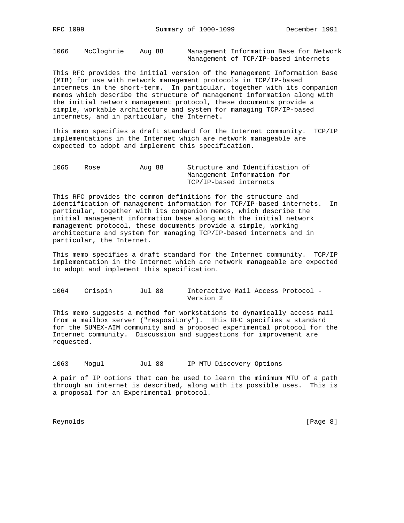1066 McCloghrie Aug 88 Management Information Base for Network Management of TCP/IP-based internets

This RFC provides the initial version of the Management Information Base (MIB) for use with network management protocols in TCP/IP-based internets in the short-term. In particular, together with its companion memos which describe the structure of management information along with the initial network management protocol, these documents provide a simple, workable architecture and system for managing TCP/IP-based internets, and in particular, the Internet.

This memo specifies a draft standard for the Internet community. TCP/IP implementations in the Internet which are network manageable are expected to adopt and implement this specification.

1065 Rose Aug 88 Structure and Identification of Management Information for TCP/IP-based internets

This RFC provides the common definitions for the structure and identification of management information for TCP/IP-based internets. In particular, together with its companion memos, which describe the initial management information base along with the initial network management protocol, these documents provide a simple, working architecture and system for managing TCP/IP-based internets and in particular, the Internet.

This memo specifies a draft standard for the Internet community. TCP/IP implementation in the Internet which are network manageable are expected to adopt and implement this specification.

1064 Crispin Jul 88 Interactive Mail Access Protocol - Version 2

This memo suggests a method for workstations to dynamically access mail from a mailbox server ("respository"). This RFC specifies a standard for the SUMEX-AIM community and a proposed experimental protocol for the Internet community. Discussion and suggestions for improvement are requested.

1063 Mogul Jul 88 IP MTU Discovery Options

A pair of IP options that can be used to learn the minimum MTU of a path through an internet is described, along with its possible uses. This is a proposal for an Experimental protocol.

Reynolds [Page 8]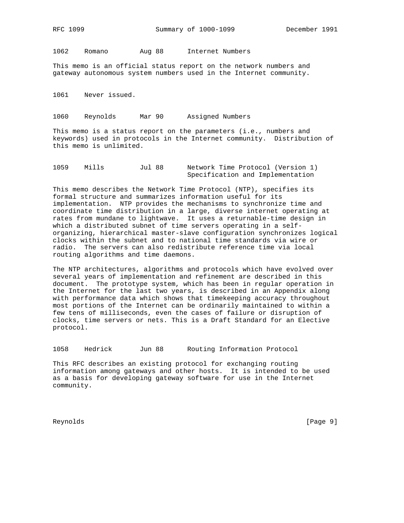1062 Romano Aug 88 Internet Numbers

This memo is an official status report on the network numbers and gateway autonomous system numbers used in the Internet community.

1061 Never issued.

1060 Reynolds Mar 90 Assigned Numbers

This memo is a status report on the parameters (i.e., numbers and keywords) used in protocols in the Internet community. Distribution of this memo is unlimited.

| 1059 | Mills | Jul 88 | Network Time Protocol (Version 1) |
|------|-------|--------|-----------------------------------|
|      |       |        | Specification and Implementation  |

This memo describes the Network Time Protocol (NTP), specifies its formal structure and summarizes information useful for its implementation. NTP provides the mechanisms to synchronize time and coordinate time distribution in a large, diverse internet operating at rates from mundane to lightwave. It uses a returnable-time design in which a distributed subnet of time servers operating in a selforganizing, hierarchical master-slave configuration synchronizes logical clocks within the subnet and to national time standards via wire or radio. The servers can also redistribute reference time via local routing algorithms and time daemons.

The NTP architectures, algorithms and protocols which have evolved over several years of implementation and refinement are described in this document. The prototype system, which has been in regular operation in the Internet for the last two years, is described in an Appendix along with performance data which shows that timekeeping accuracy throughout most portions of the Internet can be ordinarily maintained to within a few tens of milliseconds, even the cases of failure or disruption of clocks, time servers or nets. This is a Draft Standard for an Elective protocol.

1058 Hedrick Jun 88 Routing Information Protocol

This RFC describes an existing protocol for exchanging routing information among gateways and other hosts. It is intended to be used as a basis for developing gateway software for use in the Internet community.

Reynolds [Page 9]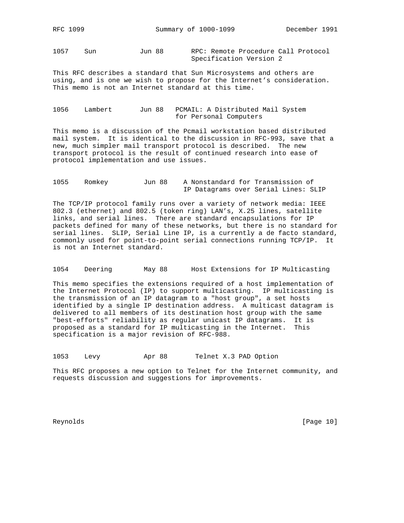1057 Sun Jun 88 RPC: Remote Procedure Call Protocol Specification Version 2

This RFC describes a standard that Sun Microsystems and others are using, and is one we wish to propose for the Internet's consideration. This memo is not an Internet standard at this time.

1056 Lambert Jun 88 PCMAIL: A Distributed Mail System for Personal Computers

This memo is a discussion of the Pcmail workstation based distributed mail system. It is identical to the discussion in RFC-993, save that a new, much simpler mail transport protocol is described. The new transport protocol is the result of continued research into ease of protocol implementation and use issues.

```
1055 Romkey Jun 88 A Nonstandard for Transmission of
                 IP Datagrams over Serial Lines: SLIP
```
The TCP/IP protocol family runs over a variety of network media: IEEE 802.3 (ethernet) and 802.5 (token ring) LAN's, X.25 lines, satellite links, and serial lines. There are standard encapsulations for IP packets defined for many of these networks, but there is no standard for serial lines. SLIP, Serial Line IP, is a currently a de facto standard, commonly used for point-to-point serial connections running TCP/IP. It is not an Internet standard.

1054 Deering May 88 Host Extensions for IP Multicasting

This memo specifies the extensions required of a host implementation of the Internet Protocol (IP) to support multicasting. IP multicasting is the transmission of an IP datagram to a "host group", a set hosts identified by a single IP destination address. A multicast datagram is delivered to all members of its destination host group with the same "best-efforts" reliability as regular unicast IP datagrams. It is proposed as a standard for IP multicasting in the Internet. This specification is a major revision of RFC-988.

1053 Levy Apr 88 Telnet X.3 PAD Option

This RFC proposes a new option to Telnet for the Internet community, and requests discussion and suggestions for improvements.

Reynolds [Page 10]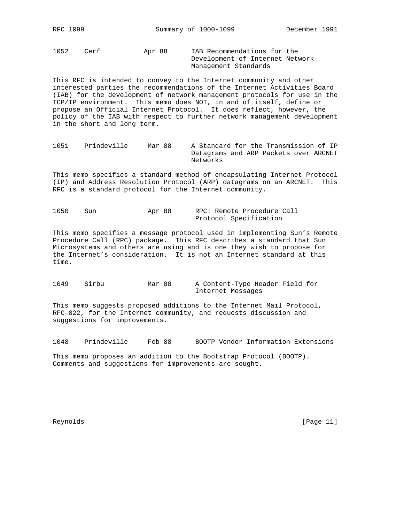1052 Cerf Apr 88 IAB Recommendations for the Development of Internet Network Management Standards

This RFC is intended to convey to the Internet community and other interested parties the recommendations of the Internet Activities Board (IAB) for the development of network management protocols for use in the TCP/IP environment. This memo does NOT, in and of itself, define or propose an Official Internet Protocol. It does reflect, however, the policy of the IAB with respect to further network management development in the short and long term.

1051 Prindeville Mar 88 A Standard for the Transmission of IP Datagrams and ARP Packets over ARCNET Networks

This memo specifies a standard method of encapsulating Internet Protocol (IP) and Address Resolution Protocol (ARP) datagrams on an ARCNET. This RFC is a standard protocol for the Internet community.

| 1050 | Sun | Apr 88 |  |  | RPC: Remote Procedure Call |  |
|------|-----|--------|--|--|----------------------------|--|
|      |     |        |  |  | Protocol Specification     |  |

This memo specifies a message protocol used in implementing Sun's Remote Procedure Call (RPC) package. This RFC describes a standard that Sun Microsystems and others are using and is one they wish to propose for the Internet's consideration. It is not an Internet standard at this time.

1049 Sirbu Mar 88 A Content-Type Header Field for Internet Messages

This memo suggests proposed additions to the Internet Mail Protocol, RFC-822, for the Internet community, and requests discussion and suggestions for improvements.

1048 Prindeville Feb 88 BOOTP Vendor Information Extensions

This memo proposes an addition to the Bootstrap Protocol (BOOTP). Comments and suggestions for improvements are sought.

Reynolds [Page 11]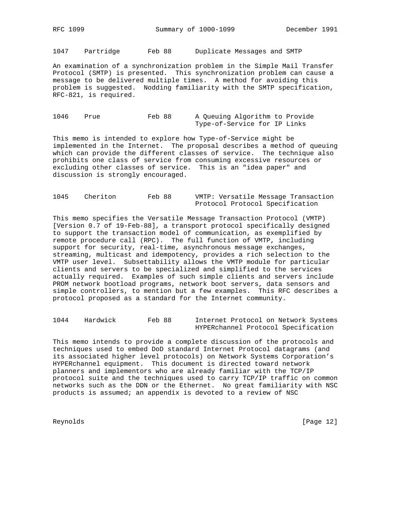1047 Partridge Feb 88 Duplicate Messages and SMTP

An examination of a synchronization problem in the Simple Mail Transfer Protocol (SMTP) is presented. This synchronization problem can cause a message to be delivered multiple times. A method for avoiding this problem is suggested. Nodding familiarity with the SMTP specification, RFC-821, is required.

1046 Prue Feb 88 A Queuing Algorithm to Provide Type-of-Service for IP Links

This memo is intended to explore how Type-of-Service might be implemented in the Internet. The proposal describes a method of queuing which can provide the different classes of service. The technique also prohibits one class of service from consuming excessive resources or excluding other classes of service. This is an "idea paper" and discussion is strongly encouraged.

| 1045 | Cheriton | Feb 88 |  |  | VMTP: Versatile Message Transaction |
|------|----------|--------|--|--|-------------------------------------|
|      |          |        |  |  | Protocol Protocol Specification     |

This memo specifies the Versatile Message Transaction Protocol (VMTP) [Version 0.7 of 19-Feb-88], a transport protocol specifically designed to support the transaction model of communication, as exemplified by remote procedure call (RPC). The full function of VMTP, including support for security, real-time, asynchronous message exchanges, streaming, multicast and idempotency, provides a rich selection to the VMTP user level. Subsettability allows the VMTP module for particular clients and servers to be specialized and simplified to the services actually required. Examples of such simple clients and servers include PROM network bootload programs, network boot servers, data sensors and simple controllers, to mention but a few examples. This RFC describes a protocol proposed as a standard for the Internet community.

| 1044 | Hardwick | Feb 88 | Internet Protocol on Network Systems |  |  |
|------|----------|--------|--------------------------------------|--|--|
|      |          |        | HYPERchannel Protocol Specification  |  |  |

This memo intends to provide a complete discussion of the protocols and techniques used to embed DoD standard Internet Protocol datagrams (and its associated higher level protocols) on Network Systems Corporation's HYPERchannel equipment. This document is directed toward network planners and implementors who are already familiar with the TCP/IP protocol suite and the techniques used to carry TCP/IP traffic on common networks such as the DDN or the Ethernet. No great familiarity with NSC products is assumed; an appendix is devoted to a review of NSC

Reynolds [Page 12]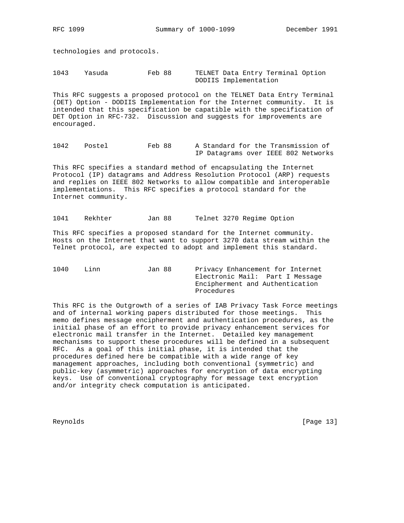technologies and protocols.

1043 Yasuda Feb 88 TELNET Data Entry Terminal Option DODIIS Implementation

This RFC suggests a proposed protocol on the TELNET Data Entry Terminal (DET) Option - DODIIS Implementation for the Internet community. It is intended that this specification be capatible with the specification of DET Option in RFC-732. Discussion and suggests for improvements are encouraged.

1042 Postel Feb 88 A Standard for the Transmission of IP Datagrams over IEEE 802 Networks

This RFC specifies a standard method of encapsulating the Internet Protocol (IP) datagrams and Address Resolution Protocol (ARP) requests and replies on IEEE 802 Networks to allow compatible and interoperable implementations. This RFC specifies a protocol standard for the Internet community.

1041 Rekhter Jan 88 Telnet 3270 Regime Option

This RFC specifies a proposed standard for the Internet community. Hosts on the Internet that want to support 3270 data stream within the Telnet protocol, are expected to adopt and implement this standard.

1040 Linn Jan 88 Privacy Enhancement for Internet Electronic Mail: Part I Message Encipherment and Authentication Procedures

This RFC is the Outgrowth of a series of IAB Privacy Task Force meetings and of internal working papers distributed for those meetings. This memo defines message encipherment and authentication procedures, as the initial phase of an effort to provide privacy enhancement services for electronic mail transfer in the Internet. Detailed key management mechanisms to support these procedures will be defined in a subsequent RFC. As a goal of this initial phase, it is intended that the procedures defined here be compatible with a wide range of key management approaches, including both conventional (symmetric) and public-key (asymmetric) approaches for encryption of data encrypting keys. Use of conventional cryptography for message text encryption and/or integrity check computation is anticipated.

Reynolds [Page 13]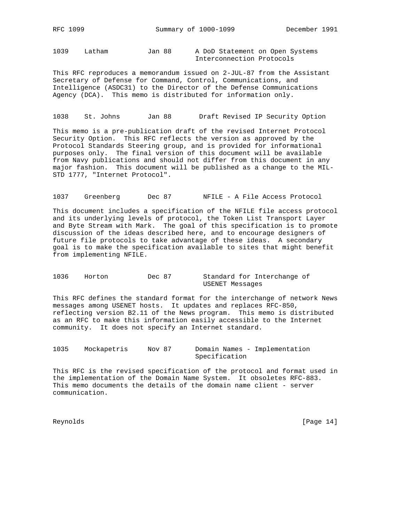1039 Latham Jan 88 A DoD Statement on Open Systems Interconnection Protocols

This RFC reproduces a memorandum issued on 2-JUL-87 from the Assistant Secretary of Defense for Command, Control, Communications, and Intelligence (ASDC31) to the Director of the Defense Communications Agency (DCA). This memo is distributed for information only.

1038 St. Johns Jan 88 Draft Revised IP Security Option

This memo is a pre-publication draft of the revised Internet Protocol Security Option. This RFC reflects the version as approved by the Protocol Standards Steering group, and is provided for informational purposes only. The final version of this document will be available from Navy publications and should not differ from this document in any major fashion. This document will be published as a change to the MIL-STD 1777, "Internet Protocol".

1037 Greenberg Dec 87 NFILE - A File Access Protocol

This document includes a specification of the NFILE file access protocol and its underlying levels of protocol, the Token List Transport Layer and Byte Stream with Mark. The goal of this specification is to promote discussion of the ideas described here, and to encourage designers of future file protocols to take advantage of these ideas. A secondary goal is to make the specification available to sites that might benefit from implementing NFILE.

1036 Horton Dec 87 Standard for Interchange of USENET Messages

This RFC defines the standard format for the interchange of network News messages among USENET hosts. It updates and replaces RFC-850, reflecting version B2.11 of the News program. This memo is distributed as an RFC to make this information easily accessible to the Internet community. It does not specify an Internet standard.

1035 Mockapetris Nov 87 Domain Names - Implementation Specification

This RFC is the revised specification of the protocol and format used in the implementation of the Domain Name System. It obsoletes RFC-883. This memo documents the details of the domain name client - server communication.

Reynolds [Page 14]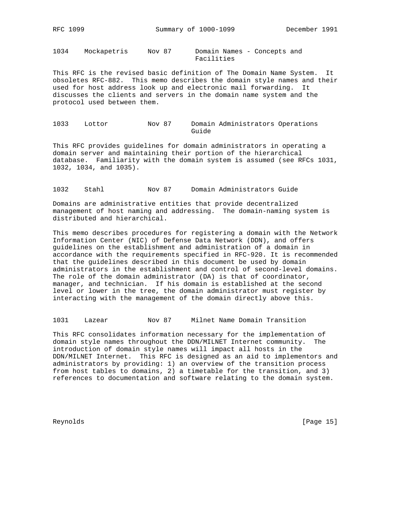1034 Mockapetris Nov 87 Domain Names - Concepts and Facilities

This RFC is the revised basic definition of The Domain Name System. It obsoletes RFC-882. This memo describes the domain style names and their used for host address look up and electronic mail forwarding. It discusses the clients and servers in the domain name system and the protocol used between them.

1033 Lottor Nov 87 Domain Administrators Operations Guide

This RFC provides guidelines for domain administrators in operating a domain server and maintaining their portion of the hierarchical database. Familiarity with the domain system is assumed (see RFCs 1031, 1032, 1034, and 1035).

1032 Stahl Nov 87 Domain Administrators Guide

Domains are administrative entities that provide decentralized management of host naming and addressing. The domain-naming system is distributed and hierarchical.

This memo describes procedures for registering a domain with the Network Information Center (NIC) of Defense Data Network (DDN), and offers guidelines on the establishment and administration of a domain in accordance with the requirements specified in RFC-920. It is recommended that the guidelines described in this document be used by domain administrators in the establishment and control of second-level domains. The role of the domain administrator (DA) is that of coordinator, manager, and technician. If his domain is established at the second level or lower in the tree, the domain administrator must register by interacting with the management of the domain directly above this.

1031 Lazear Nov 87 Milnet Name Domain Transition

This RFC consolidates information necessary for the implementation of domain style names throughout the DDN/MILNET Internet community. The introduction of domain style names will impact all hosts in the DDN/MILNET Internet. This RFC is designed as an aid to implementors and administrators by providing: 1) an overview of the transition process from host tables to domains, 2) a timetable for the transition, and 3) references to documentation and software relating to the domain system.

Reynolds [Page 15]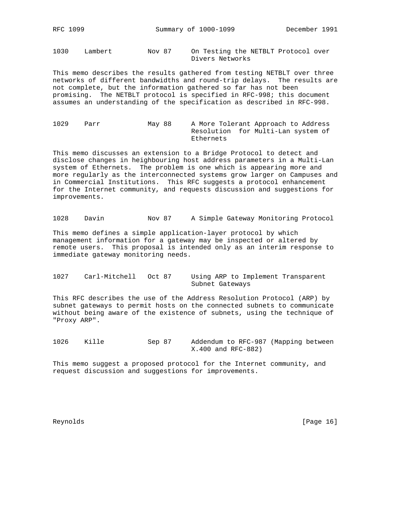1030 Lambert Nov 87 On Testing the NETBLT Protocol over Divers Networks

This memo describes the results gathered from testing NETBLT over three networks of different bandwidths and round-trip delays. The results are not complete, but the information gathered so far has not been promising. The NETBLT protocol is specified in RFC-998; this document assumes an understanding of the specification as described in RFC-998.

1029 Parr May 88 A More Tolerant Approach to Address Resolution for Multi-Lan system of Ethernets

This memo discusses an extension to a Bridge Protocol to detect and disclose changes in heighbouring host address parameters in a Multi-Lan system of Ethernets. The problem is one which is appearing more and more regularly as the interconnected systems grow larger on Campuses and in Commercial Institutions. This RFC suggests a protocol enhancement for the Internet community, and requests discussion and suggestions for improvements.

1028 Davin Nov 87 A Simple Gateway Monitoring Protocol

This memo defines a simple application-layer protocol by which management information for a gateway may be inspected or altered by remote users. This proposal is intended only as an interim response to immediate gateway monitoring needs.

1027 Carl-Mitchell Oct 87 Using ARP to Implement Transparent Subnet Gateways

This RFC describes the use of the Address Resolution Protocol (ARP) by subnet gateways to permit hosts on the connected subnets to communicate without being aware of the existence of subnets, using the technique of "Proxy ARP".

1026 Kille Sep 87 Addendum to RFC-987 (Mapping between X.400 and RFC-882)

This memo suggest a proposed protocol for the Internet community, and request discussion and suggestions for improvements.

Reynolds [Page 16]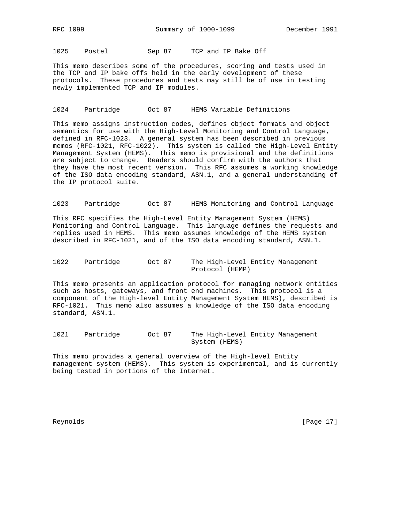1025 Postel Sep 87 TCP and IP Bake Off

This memo describes some of the procedures, scoring and tests used in the TCP and IP bake offs held in the early development of these protocols. These procedures and tests may still be of use in testing newly implemented TCP and IP modules.

## 1024 Partridge Oct 87 HEMS Variable Definitions

This memo assigns instruction codes, defines object formats and object semantics for use with the High-Level Monitoring and Control Language, defined in RFC-1023. A general system has been described in previous memos (RFC-1021, RFC-1022). This system is called the High-Level Entity Management System (HEMS). This memo is provisional and the definitions are subject to change. Readers should confirm with the authors that they have the most recent version. This RFC assumes a working knowledge of the ISO data encoding standard, ASN.1, and a general understanding of the IP protocol suite.

1023 Partridge Oct 87 HEMS Monitoring and Control Language

This RFC specifies the High-Level Entity Management System (HEMS) Monitoring and Control Language. This language defines the requests and replies used in HEMS. This memo assumes knowledge of the HEMS system described in RFC-1021, and of the ISO data encoding standard, ASN.1.

1022 Partridge Oct 87 The High-Level Entity Management Protocol (HEMP)

This memo presents an application protocol for managing network entities such as hosts, gateways, and front end machines. This protocol is a component of the High-level Entity Management System HEMS), described is RFC-1021. This memo also assumes a knowledge of the ISO data encoding standard, ASN.1.

1021 Partridge Oct 87 The High-Level Entity Management System (HEMS)

This memo provides a general overview of the High-level Entity management system (HEMS). This system is experimental, and is currently being tested in portions of the Internet.

Reynolds [Page 17]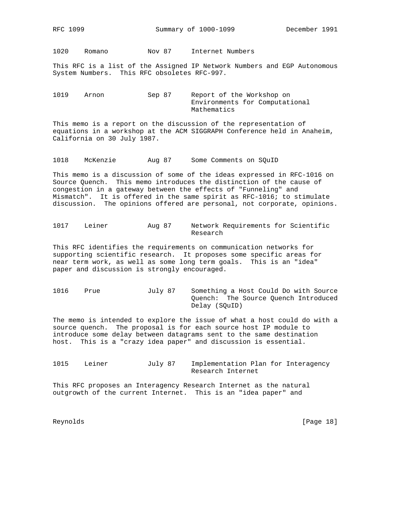1020 Romano Nov 87 Internet Numbers

This RFC is a list of the Assigned IP Network Numbers and EGP Autonomous System Numbers. This RFC obsoletes RFC-997.

1019 Arnon Sep 87 Report of the Workshop on Environments for Computational Mathematics

This memo is a report on the discussion of the representation of equations in a workshop at the ACM SIGGRAPH Conference held in Anaheim, California on 30 July 1987.

1018 McKenzie Aug 87 Some Comments on SQuID

This memo is a discussion of some of the ideas expressed in RFC-1016 on Source Quench. This memo introduces the distinction of the cause of congestion in a gateway between the effects of "Funneling" and Mismatch". It is offered in the same spirit as RFC-1016; to stimulate discussion. The opinions offered are personal, not corporate, opinions.

1017 Leiner Aug 87 Network Requirements for Scientific Research

This RFC identifies the requirements on communication networks for supporting scientific research. It proposes some specific areas for near term work, as well as some long term goals. This is an "idea" paper and discussion is strongly encouraged.

1016 Prue July 87 Something a Host Could Do with Source Quench: The Source Quench Introduced Delay (SQuID)

The memo is intended to explore the issue of what a host could do with a source quench. The proposal is for each source host IP module to introduce some delay between datagrams sent to the same destination host. This is a "crazy idea paper" and discussion is essential.

1015 Leiner July 87 Implementation Plan for Interagency Research Internet

This RFC proposes an Interagency Research Internet as the natural outgrowth of the current Internet. This is an "idea paper" and

Reynolds [Page 18]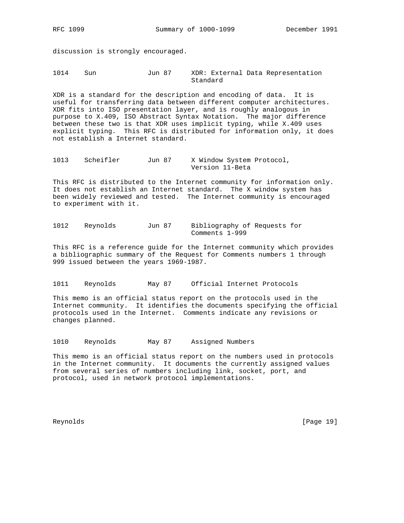discussion is strongly encouraged.

1014 Sun Jun 87 XDR: External Data Representation Standard

XDR is a standard for the description and encoding of data. It is useful for transferring data between different computer architectures. XDR fits into ISO presentation layer, and is roughly analogous in purpose to X.409, ISO Abstract Syntax Notation. The major difference between these two is that XDR uses implicit typing, while X.409 uses explicit typing. This RFC is distributed for information only, it does not establish a Internet standard.

```
1013 Scheifler Jun 87 X Window System Protocol,
                  Version 11-Beta
```
This RFC is distributed to the Internet community for information only. It does not establish an Internet standard. The X window system has been widely reviewed and tested. The Internet community is encouraged to experiment with it.

1012 Reynolds Jun 87 Bibliography of Requests for Comments 1-999

This RFC is a reference guide for the Internet community which provides a bibliographic summary of the Request for Comments numbers 1 through 999 issued between the years 1969-1987.

1011 Reynolds May 87 Official Internet Protocols

This memo is an official status report on the protocols used in the Internet community. It identifies the documents specifying the official protocols used in the Internet. Comments indicate any revisions or changes planned.

1010 Reynolds May 87 Assigned Numbers

This memo is an official status report on the numbers used in protocols in the Internet community. It documents the currently assigned values from several series of numbers including link, socket, port, and protocol, used in network protocol implementations.

Reynolds [Page 19]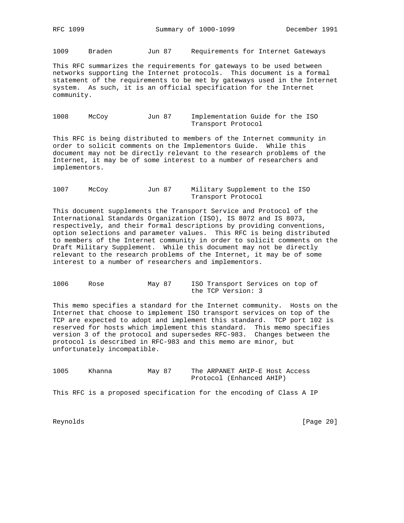1009 Braden Jun 87 Requirements for Internet Gateways

This RFC summarizes the requirements for gateways to be used between networks supporting the Internet protocols. This document is a formal statement of the requirements to be met by gateways used in the Internet system. As such, it is an official specification for the Internet community.

1008 McCoy Jun 87 Implementation Guide for the ISO Transport Protocol

This RFC is being distributed to members of the Internet community in order to solicit comments on the Implementors Guide. While this document may not be directly relevant to the research problems of the Internet, it may be of some interest to a number of researchers and implementors.

1007 McCoy Jun 87 Military Supplement to the ISO Transport Protocol

This document supplements the Transport Service and Protocol of the International Standards Organization (ISO), IS 8072 and IS 8073, respectively, and their formal descriptions by providing conventions, option selections and parameter values. This RFC is being distributed to members of the Internet community in order to solicit comments on the Draft Military Supplement. While this document may not be directly relevant to the research problems of the Internet, it may be of some interest to a number of researchers and implementors.

1006 Rose May 87 ISO Transport Services on top of the TCP Version: 3

This memo specifies a standard for the Internet community. Hosts on the Internet that choose to implement ISO transport services on top of the TCP are expected to adopt and implement this standard. TCP port 102 is reserved for hosts which implement this standard. This memo specifies version 3 of the protocol and supersedes RFC-983. Changes between the protocol is described in RFC-983 and this memo are minor, but unfortunately incompatible.

1005 Khanna May 87 The ARPANET AHIP-E Host Access Protocol (Enhanced AHIP)

This RFC is a proposed specification for the encoding of Class A IP

Reynolds [Page 20]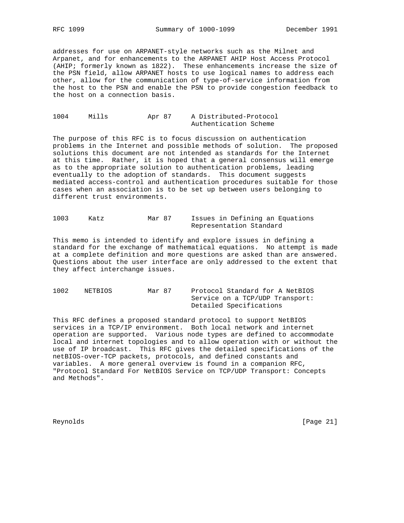addresses for use on ARPANET-style networks such as the Milnet and Arpanet, and for enhancements to the ARPANET AHIP Host Access Protocol (AHIP; formerly known as 1822). These enhancements increase the size of the PSN field, allow ARPANET hosts to use logical names to address each other, allow for the communication of type-of-service information from the host to the PSN and enable the PSN to provide congestion feedback to the host on a connection basis.

1004 Mills Apr 87 A Distributed-Protocol Authentication Scheme

The purpose of this RFC is to focus discussion on authentication problems in the Internet and possible methods of solution. The proposed solutions this document are not intended as standards for the Internet at this time. Rather, it is hoped that a general consensus will emerge as to the appropriate solution to authentication problems, leading eventually to the adoption of standards. This document suggests mediated access-control and authentication procedures suitable for those cases when an association is to be set up between users belonging to different trust environments.

| 1003 | Katz | Mar 87 | Issues in Defining an Equations |
|------|------|--------|---------------------------------|
|      |      |        | Representation Standard         |

This memo is intended to identify and explore issues in defining a standard for the exchange of mathematical equations. No attempt is made at a complete definition and more questions are asked than are answered. Questions about the user interface are only addressed to the extent that they affect interchange issues.

1002 NETBIOS Mar 87 Protocol Standard for A NetBIOS Service on a TCP/UDP Transport: Detailed Specifications

This RFC defines a proposed standard protocol to support NetBIOS services in a TCP/IP environment. Both local network and internet operation are supported. Various node types are defined to accommodate local and internet topologies and to allow operation with or without the use of IP broadcast. This RFC gives the detailed specifications of the netBIOS-over-TCP packets, protocols, and defined constants and variables. A more general overview is found in a companion RFC, "Protocol Standard For NetBIOS Service on TCP/UDP Transport: Concepts and Methods".

Reynolds [Page 21]